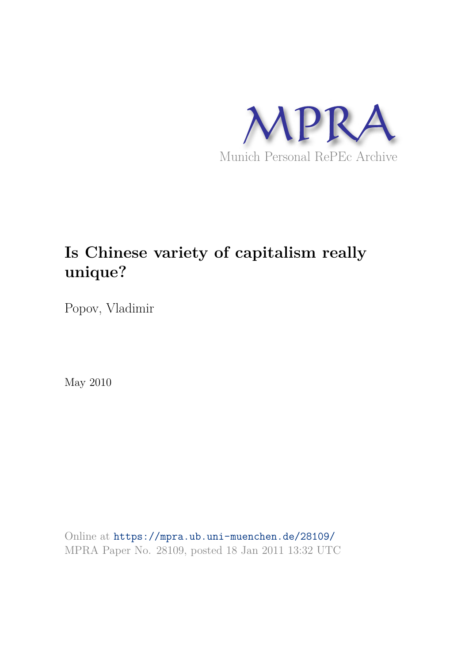

# **Is Chinese variety of capitalism really unique?**

Popov, Vladimir

May 2010

Online at https://mpra.ub.uni-muenchen.de/28109/ MPRA Paper No. 28109, posted 18 Jan 2011 13:32 UTC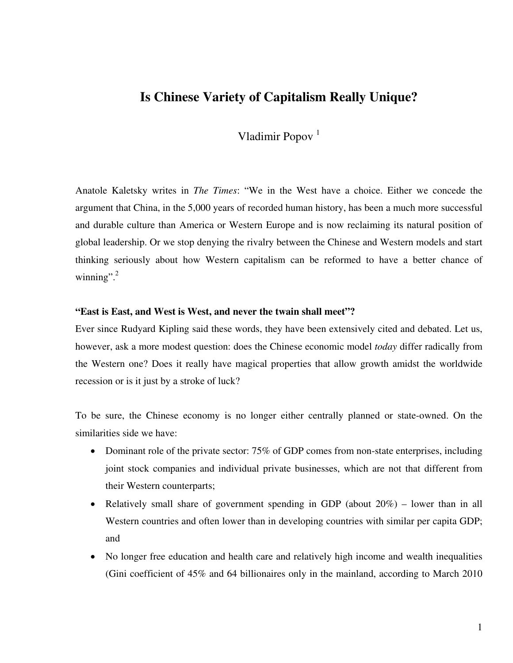# **Is Chinese Variety of Capitalism Really Unique?**

Vladimir Popov<sup>1</sup>

Anatole Kaletsky writes in *The Times*: "We in the West have a choice. Either we concede the argument that China, in the 5,000 years of recorded human history, has been a much more successful and durable culture than America or Western Europe and is now reclaiming its natural position of global leadership. Or we stop denying the rivalry between the Chinese and Western models and start thinking seriously about how Western capitalism can be reformed to have a better chance of winning". $^{2}$ 

#### **"East is East, and West is West, and never the twain shall meet"?**

Ever since Rudyard Kipling said these words, they have been extensively cited and debated. Let us, however, ask a more modest question: does the Chinese economic model *today* differ radically from the Western one? Does it really have magical properties that allow growth amidst the worldwide recession or is it just by a stroke of luck?

To be sure, the Chinese economy is no longer either centrally planned or state-owned. On the similarities side we have:

- Dominant role of the private sector: 75% of GDP comes from non-state enterprises, including joint stock companies and individual private businesses, which are not that different from their Western counterparts;
- Relatively small share of government spending in GDP (about 20%) lower than in all Western countries and often lower than in developing countries with similar per capita GDP; and
- No longer free education and health care and relatively high income and wealth inequalities (Gini coefficient of 45% and 64 billionaires only in the mainland, according to March 2010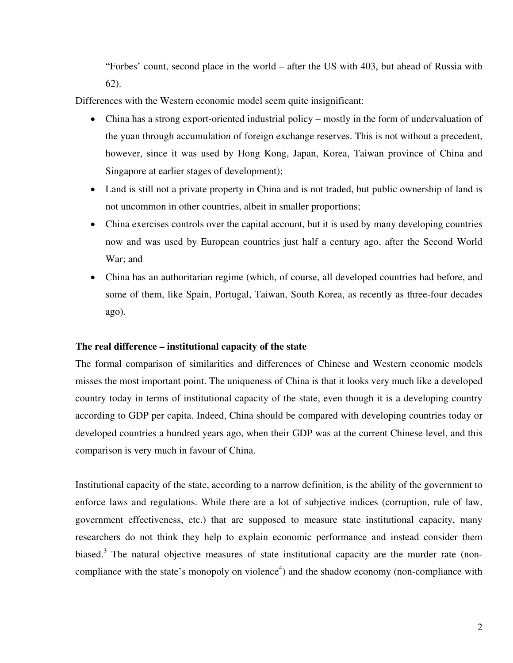"Forbes' count, second place in the world – after the US with 403, but ahead of Russia with 62).

Differences with the Western economic model seem quite insignificant:

- China has a strong export-oriented industrial policy mostly in the form of undervaluation of the yuan through accumulation of foreign exchange reserves. This is not without a precedent, however, since it was used by Hong Kong, Japan, Korea, Taiwan province of China and Singapore at earlier stages of development);
- Land is still not a private property in China and is not traded, but public ownership of land is not uncommon in other countries, albeit in smaller proportions;
- China exercises controls over the capital account, but it is used by many developing countries now and was used by European countries just half a century ago, after the Second World War; and
- China has an authoritarian regime (which, of course, all developed countries had before, and some of them, like Spain, Portugal, Taiwan, South Korea, as recently as three-four decades ago).

## **The real difference – institutional capacity of the state**

The formal comparison of similarities and differences of Chinese and Western economic models misses the most important point. The uniqueness of China is that it looks very much like a developed country today in terms of institutional capacity of the state, even though it is a developing country according to GDP per capita. Indeed, China should be compared with developing countries today or developed countries a hundred years ago, when their GDP was at the current Chinese level, and this comparison is very much in favour of China.

Institutional capacity of the state, according to a narrow definition, is the ability of the government to enforce laws and regulations. While there are a lot of subjective indices (corruption, rule of law, government effectiveness, etc.) that are supposed to measure state institutional capacity, many researchers do not think they help to explain economic performance and instead consider them biased.<sup>3</sup> The natural objective measures of state institutional capacity are the murder rate (noncompliance with the state's monopoly on violence<sup>4</sup>) and the shadow economy (non-compliance with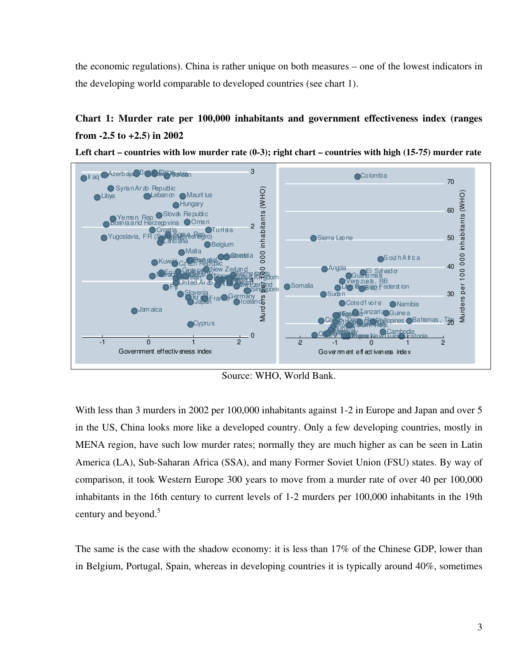the economic regulations). China is rather unique on both measures – one of the lowest indicators in the developing world comparable to developed countries (see chart 1).

## **Chart 1: Murder rate per 100,000 inhabitants and government effectiveness index (ranges from -2.5 to +2.5) in 2002**



**Left chart – countries with low murder rate (0-3); right chart – countries with high (15-75) murder rate** 

Source: WHO, World Bank.

With less than 3 murders in 2002 per 100,000 inhabitants against 1-2 in Europe and Japan and over 5 in the US, China looks more like a developed country. Only a few developing countries, mostly in MENA region, have such low murder rates; normally they are much higher as can be seen in Latin America (LA), Sub-Saharan Africa (SSA), and many Former Soviet Union (FSU) states. By way of comparison, it took Western Europe 300 years to move from a murder rate of over 40 per 100,000 inhabitants in the 16th century to current levels of 1-2 murders per 100,000 inhabitants in the 19th century and beyond.<sup>5</sup>

The same is the case with the shadow economy: it is less than 17% of the Chinese GDP, lower than in Belgium, Portugal, Spain, whereas in developing countries it is typically around 40%, sometimes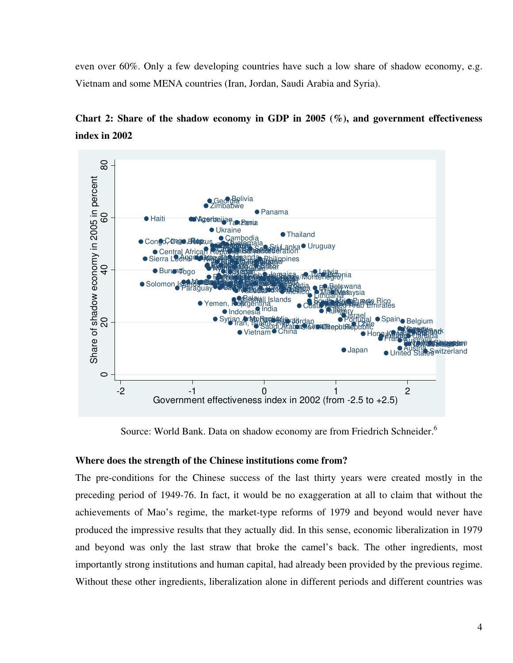even over 60%. Only a few developing countries have such a low share of shadow economy, e.g. Vietnam and some MENA countries (Iran, Jordan, Saudi Arabia and Syria).





Source: World Bank. Data on shadow economy are from Friedrich Schneider.<sup>6</sup>

## **Where does the strength of the Chinese institutions come from?**

The pre-conditions for the Chinese success of the last thirty years were created mostly in the preceding period of 1949-76. In fact, it would be no exaggeration at all to claim that without the achievements of Mao's regime, the market-type reforms of 1979 and beyond would never have produced the impressive results that they actually did. In this sense, economic liberalization in 1979 and beyond was only the last straw that broke the camel's back. The other ingredients, most importantly strong institutions and human capital, had already been provided by the previous regime. Without these other ingredients, liberalization alone in different periods and different countries was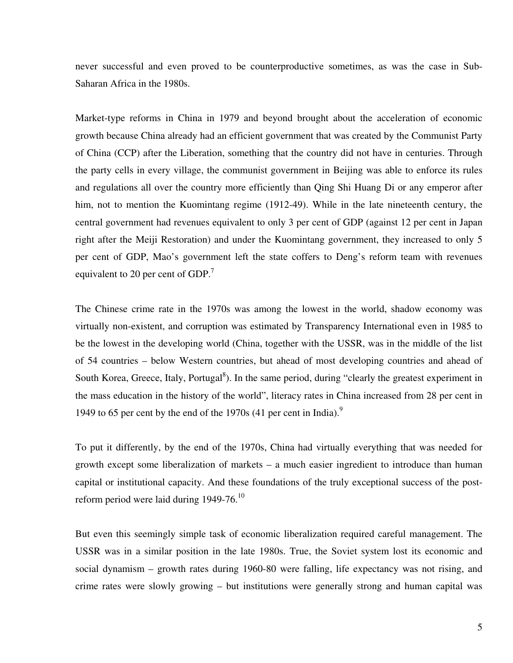never successful and even proved to be counterproductive sometimes, as was the case in Sub-Saharan Africa in the 1980s.

Market-type reforms in China in 1979 and beyond brought about the acceleration of economic growth because China already had an efficient government that was created by the Communist Party of China (CCP) after the Liberation, something that the country did not have in centuries. Through the party cells in every village, the communist government in Beijing was able to enforce its rules and regulations all over the country more efficiently than Qing Shi Huang Di or any emperor after him, not to mention the Kuomintang regime (1912-49). While in the late nineteenth century, the central government had revenues equivalent to only 3 per cent of GDP (against 12 per cent in Japan right after the Meiji Restoration) and under the Kuomintang government, they increased to only 5 per cent of GDP, Mao's government left the state coffers to Deng's reform team with revenues equivalent to 20 per cent of GDP. $^7$ 

The Chinese crime rate in the 1970s was among the lowest in the world, shadow economy was virtually non-existent, and corruption was estimated by Transparency International even in 1985 to be the lowest in the developing world (China, together with the USSR, was in the middle of the list of 54 countries – below Western countries, but ahead of most developing countries and ahead of South Korea, Greece, Italy, Portugal<sup>8</sup>). In the same period, during "clearly the greatest experiment in the mass education in the history of the world", literacy rates in China increased from 28 per cent in 1949 to 65 per cent by the end of the 1970s (41 per cent in India).<sup>9</sup>

To put it differently, by the end of the 1970s, China had virtually everything that was needed for growth except some liberalization of markets – a much easier ingredient to introduce than human capital or institutional capacity. And these foundations of the truly exceptional success of the postreform period were laid during 1949-76. $^{10}$ 

But even this seemingly simple task of economic liberalization required careful management. The USSR was in a similar position in the late 1980s. True, the Soviet system lost its economic and social dynamism – growth rates during 1960-80 were falling, life expectancy was not rising, and crime rates were slowly growing – but institutions were generally strong and human capital was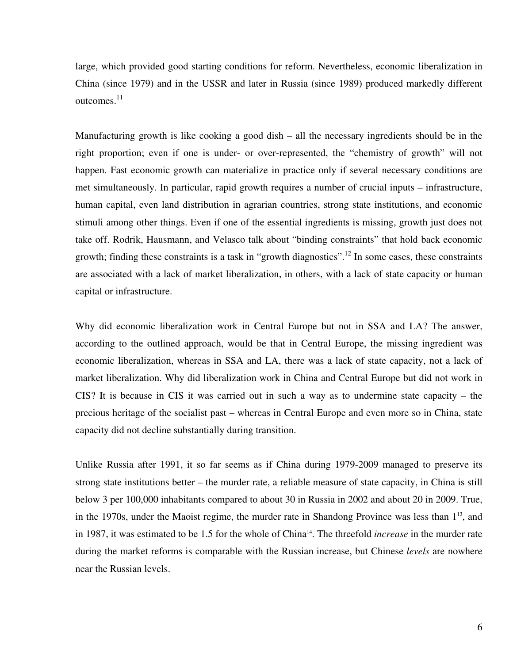large, which provided good starting conditions for reform. Nevertheless, economic liberalization in China (since 1979) and in the USSR and later in Russia (since 1989) produced markedly different outcomes. $^{11}$ 

Manufacturing growth is like cooking a good dish – all the necessary ingredients should be in the right proportion; even if one is under- or over-represented, the "chemistry of growth" will not happen. Fast economic growth can materialize in practice only if several necessary conditions are met simultaneously. In particular, rapid growth requires a number of crucial inputs – infrastructure, human capital, even land distribution in agrarian countries, strong state institutions, and economic stimuli among other things. Even if one of the essential ingredients is missing, growth just does not take off. Rodrik, Hausmann, and Velasco talk about "binding constraints" that hold back economic growth; finding these constraints is a task in "growth diagnostics".<sup>12</sup> In some cases, these constraints are associated with a lack of market liberalization, in others, with a lack of state capacity or human capital or infrastructure.

Why did economic liberalization work in Central Europe but not in SSA and LA? The answer, according to the outlined approach, would be that in Central Europe, the missing ingredient was economic liberalization, whereas in SSA and LA, there was a lack of state capacity, not a lack of market liberalization. Why did liberalization work in China and Central Europe but did not work in CIS? It is because in CIS it was carried out in such a way as to undermine state capacity – the precious heritage of the socialist past – whereas in Central Europe and even more so in China, state capacity did not decline substantially during transition.

Unlike Russia after 1991, it so far seems as if China during 1979-2009 managed to preserve its strong state institutions better – the murder rate, a reliable measure of state capacity, in China is still below 3 per 100,000 inhabitants compared to about 30 in Russia in 2002 and about 20 in 2009. True, in the 1970s, under the Maoist regime, the murder rate in Shandong Province was less than  $1<sup>13</sup>$ , and in 1987, it was estimated to be 1.5 for the whole of China<sup>14</sup>. The threefold *increase* in the murder rate during the market reforms is comparable with the Russian increase, but Chinese *levels* are nowhere near the Russian levels.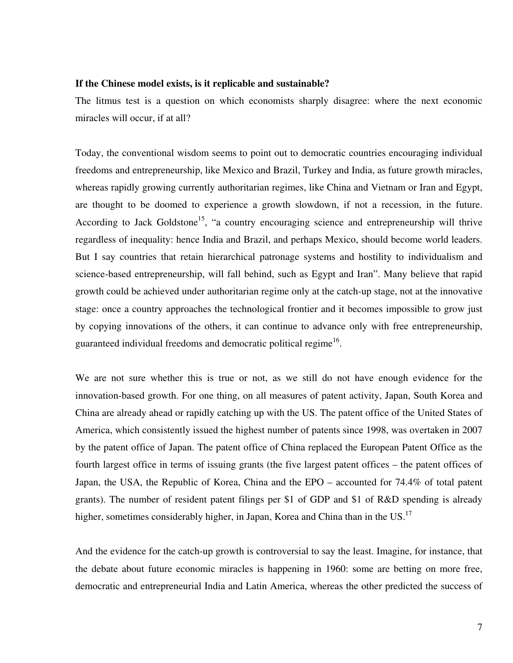#### **If the Chinese model exists, is it replicable and sustainable?**

The litmus test is a question on which economists sharply disagree: where the next economic miracles will occur, if at all?

Today, the conventional wisdom seems to point out to democratic countries encouraging individual freedoms and entrepreneurship, like Mexico and Brazil, Turkey and India, as future growth miracles, whereas rapidly growing currently authoritarian regimes, like China and Vietnam or Iran and Egypt, are thought to be doomed to experience a growth slowdown, if not a recession, in the future. According to Jack Goldstone<sup>15</sup>, "a country encouraging science and entrepreneurship will thrive regardless of inequality: hence India and Brazil, and perhaps Mexico, should become world leaders. But I say countries that retain hierarchical patronage systems and hostility to individualism and science-based entrepreneurship, will fall behind, such as Egypt and Iran". Many believe that rapid growth could be achieved under authoritarian regime only at the catch-up stage, not at the innovative stage: once a country approaches the technological frontier and it becomes impossible to grow just by copying innovations of the others, it can continue to advance only with free entrepreneurship, guaranteed individual freedoms and democratic political regime<sup>16</sup>.

We are not sure whether this is true or not, as we still do not have enough evidence for the innovation-based growth. For one thing, on all measures of patent activity, Japan, South Korea and China are already ahead or rapidly catching up with the US. The patent office of the United States of America, which consistently issued the highest number of patents since 1998, was overtaken in 2007 by the patent office of Japan. The patent office of China replaced the European Patent Office as the fourth largest office in terms of issuing grants (the five largest patent offices – the patent offices of Japan, the USA, the Republic of Korea, China and the EPO – accounted for 74.4% of total patent grants). The number of resident patent filings per \$1 of GDP and \$1 of R&D spending is already higher, sometimes considerably higher, in Japan, Korea and China than in the US.<sup>17</sup>

And the evidence for the catch-up growth is controversial to say the least. Imagine, for instance, that the debate about future economic miracles is happening in 1960: some are betting on more free, democratic and entrepreneurial India and Latin America, whereas the other predicted the success of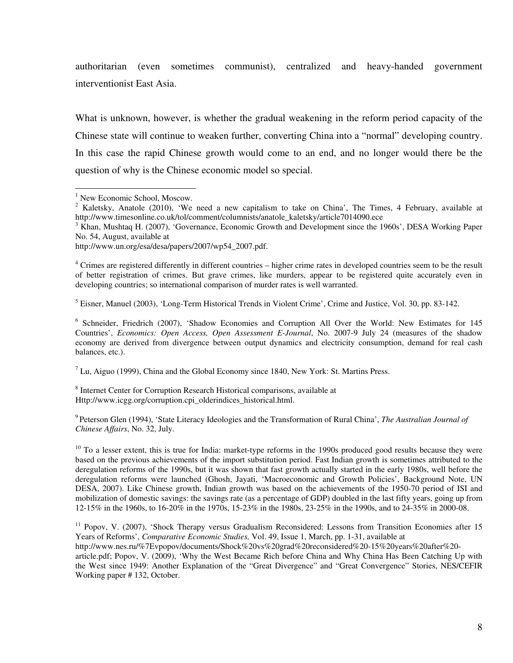authoritarian (even sometimes communist), centralized and heavy-handed government interventionist East Asia.

What is unknown, however, is whether the gradual weakening in the reform period capacity of the Chinese state will continue to weaken further, converting China into a "normal" developing country. In this case the rapid Chinese growth would come to an end, and no longer would there be the question of why is the Chinese economic model so special.

<sup>4</sup> Crimes are registered differently in different countries – higher crime rates in developed countries seem to be the result of better registration of crimes. But grave crimes, like murders, appear to be registered quite accurately even in developing countries; so international comparison of murder rates is well warranted.

<sup>5</sup> Eisner, Manuel (2003), 'Long-Term Historical Trends in Violent Crime', Crime and Justice, Vol. 30, pp. 83-142.

<sup>6</sup> Schneider, Friedrich (2007), 'Shadow Economies and Corruption All Over the World: New Estimates for 145 Countries', *Economics: Open Access, Open Assessment E-Journal*, No. 2007-9 July 24 (measures of the shadow economy are derived from divergence between output dynamics and electricity consumption, demand for real cash balances, etc.).

 $<sup>7</sup>$  Lu, Aiguo (1999), China and the Global Economy since 1840, New York: St. Martins Press.</sup>

<sup>8</sup> Internet Center for Corruption Research Historical comparisons, available at Http://www.icgg.org/corruption.cpi\_olderindices\_historical.html.

9 Peterson Glen (1994), 'State Literacy Ideologies and the Transformation of Rural China', *The Australian Journal of Chinese Affairs*, No. 32, July.

 $10$  To a lesser extent, this is true for India: market-type reforms in the 1990s produced good results because they were based on the previous achievements of the import substitution period. Fast Indian growth is sometimes attributed to the deregulation reforms of the 1990s, but it was shown that fast growth actually started in the early 1980s, well before the deregulation reforms were launched (Ghosh, Jayati, 'Macroeconomic and Growth Policies', Background Note, UN DESA, 2007). Like Chinese growth, Indian growth was based on the achievements of the 1950-70 period of ISI and mobilization of domestic savings: the savings rate (as a percentage of GDP) doubled in the last fifty years, going up from 12-15% in the 1960s, to 16-20% in the 1970s, 15-23% in the 1980s, 23-25% in the 1990s, and to 24-35% in 2000-08.

 $11$  Popov, V. (2007), 'Shock Therapy versus Gradualism Reconsidered: Lessons from Transition Economies after 15 Years of Reforms', *Comparative Economic Studies,* Vol. 49, Issue 1, March, pp. 1-31, available at http://www.nes.ru/%7Evpopov/documents/Shock%20vs%20grad%20reconsidered%20-15%20years%20after%20 article.pdf; Popov, V. (2009), 'Why the West Became Rich before China and Why China Has Been Catching Up with the West since 1949: Another Explanation of the "Great Divergence" and "Great Convergence" Stories, NES/CEFIR Working paper # 132, October.

<sup>&</sup>lt;sup>1</sup> New Economic School, Moscow.

<sup>&</sup>lt;sup>2</sup> Kaletsky, Anatole (2010), 'We need a new capitalism to take on China', The Times, 4 February, available at http://www.timesonline.co.uk/tol/comment/columnists/anatole\_kaletsky/article7014090.ece

<sup>&</sup>lt;sup>3</sup> Khan, Mushtaq H. (2007), 'Governance, Economic Growth and Development since the 1960s', DESA Working Paper No. 54, August, available at

http://www.un.org/esa/desa/papers/2007/wp54\_2007.pdf.